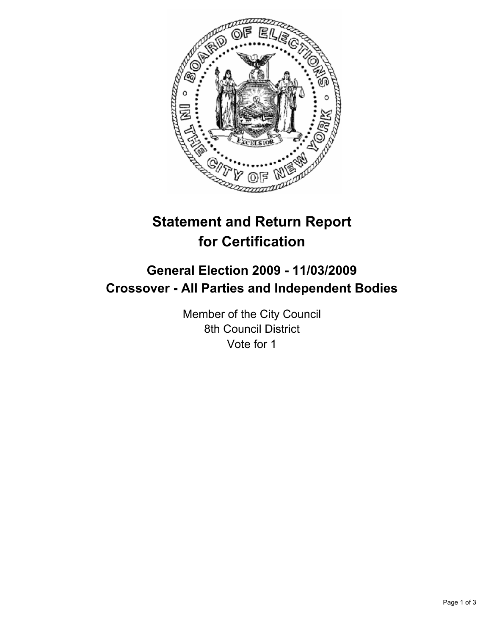

# **Statement and Return Report for Certification**

# **General Election 2009 - 11/03/2009 Crossover - All Parties and Independent Bodies**

Member of the City Council 8th Council District Vote for 1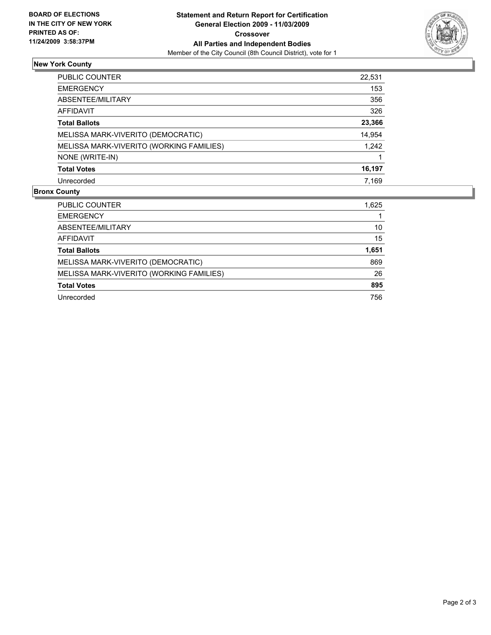

## **New York County**

| PUBLIC COUNTER                           | 22,531 |
|------------------------------------------|--------|
| <b>EMERGENCY</b>                         | 153    |
| ABSENTEE/MILITARY                        | 356    |
| AFFIDAVIT                                | 326    |
| <b>Total Ballots</b>                     | 23,366 |
| MELISSA MARK-VIVERITO (DEMOCRATIC)       | 14,954 |
| MELISSA MARK-VIVERITO (WORKING FAMILIES) | 1,242  |
| NONE (WRITE-IN)                          |        |
| <b>Total Votes</b>                       | 16,197 |
| Unrecorded                               | 7,169  |

### **Bronx County**

| PUBLIC COUNTER                           | 1,625 |
|------------------------------------------|-------|
| <b>EMERGENCY</b>                         |       |
| ABSENTEE/MILITARY                        | 10    |
| AFFIDAVIT                                | 15    |
| <b>Total Ballots</b>                     | 1,651 |
| MELISSA MARK-VIVERITO (DEMOCRATIC)       | 869   |
| MELISSA MARK-VIVERITO (WORKING FAMILIES) | 26    |
| <b>Total Votes</b>                       | 895   |
| Unrecorded                               | 756   |